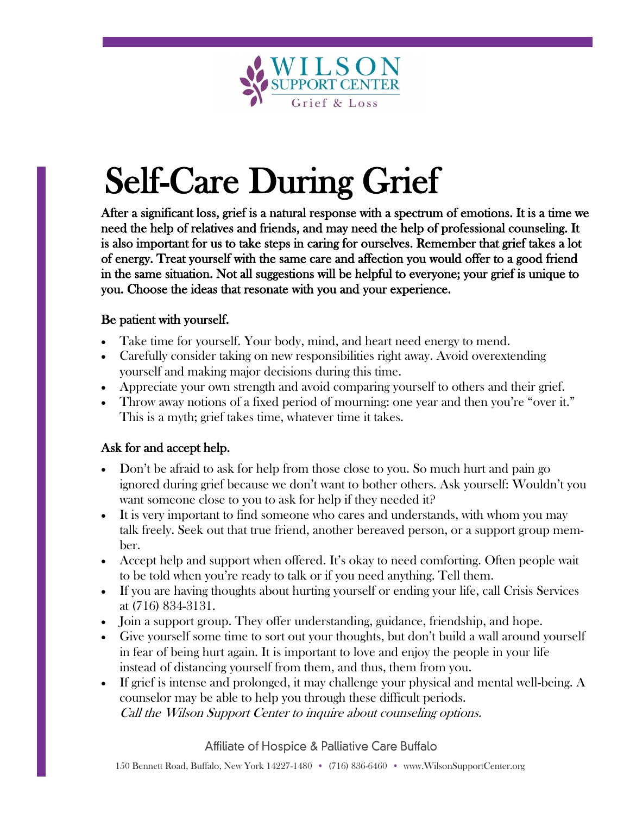

# Self-Care During Grief

After a significant loss, grief is a natural response with a spectrum of emotions. It is a time we need the help of relatives and friends, and may need the help of professional counseling. It is also important for us to take steps in caring for ourselves. Remember that grief takes a lot of energy. Treat yourself with the same care and affection you would offer to a good friend in the same situation. Not all suggestions will be helpful to everyone; your grief is unique to you. Choose the ideas that resonate with you and your experience.

#### Be patient with yourself.

- Take time for yourself. Your body, mind, and heart need energy to mend.
- Carefully consider taking on new responsibilities right away. Avoid overextending yourself and making major decisions during this time.
- Appreciate your own strength and avoid comparing yourself to others and their grief.
- Throw away notions of a fixed period of mourning: one year and then you're "over it." This is a myth; grief takes time, whatever time it takes.

## Ask for and accept help.

- Don't be afraid to ask for help from those close to you. So much hurt and pain go ignored during grief because we don't want to bother others. Ask yourself: Wouldn't you want someone close to you to ask for help if they needed it?
- It is very important to find someone who cares and understands, with whom you may talk freely. Seek out that true friend, another bereaved person, or a support group member.
- Accept help and support when offered. It's okay to need comforting. Often people wait to be told when you're ready to talk or if you need anything. Tell them.
- If you are having thoughts about hurting yourself or ending your life, call Crisis Services at (716) 834-3131.
- Join a support group. They offer understanding, guidance, friendship, and hope.
- Give yourself some time to sort out your thoughts, but don't build a wall around yourself in fear of being hurt again. It is important to love and enjoy the people in your life instead of distancing yourself from them, and thus, them from you.
- If grief is intense and prolonged, it may challenge your physical and mental well-being. A counselor may be able to help you through these difficult periods. Call the Wilson Support Center to inquire about counseling options.

Affiliate of Hospice & Palliative Care Buffalo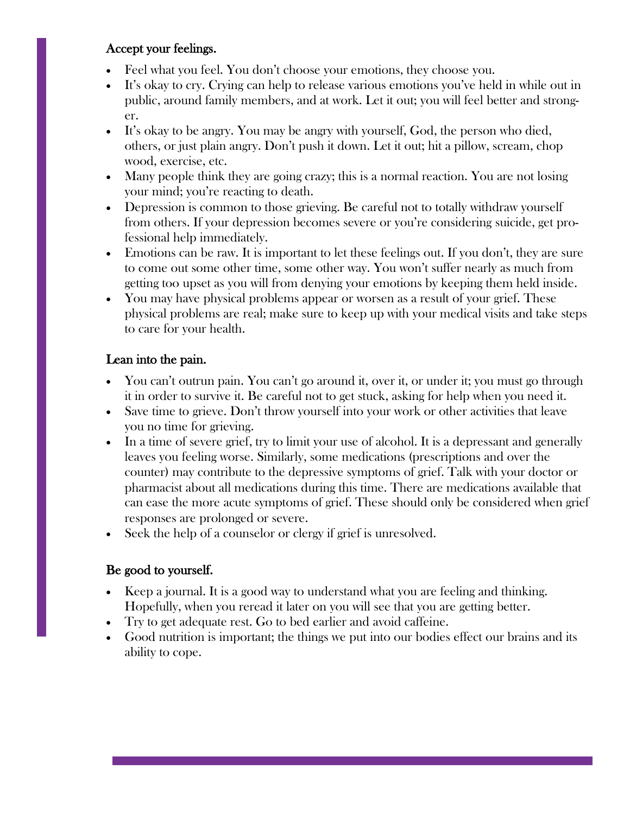#### Accept your feelings.

- Feel what you feel. You don't choose your emotions, they choose you.
- It's okay to cry. Crying can help to release various emotions you've held in while out in public, around family members, and at work. Let it out; you will feel better and stronger.
- It's okay to be angry. You may be angry with yourself, God, the person who died, others, or just plain angry. Don't push it down. Let it out; hit a pillow, scream, chop wood, exercise, etc.
- Many people think they are going crazy; this is a normal reaction. You are not losing your mind; you're reacting to death.
- Depression is common to those grieving. Be careful not to totally withdraw yourself from others. If your depression becomes severe or you're considering suicide, get professional help immediately.
- Emotions can be raw. It is important to let these feelings out. If you don't, they are sure to come out some other time, some other way. You won't suffer nearly as much from getting too upset as you will from denying your emotions by keeping them held inside.
- You may have physical problems appear or worsen as a result of your grief. These physical problems are real; make sure to keep up with your medical visits and take steps to care for your health.

## Lean into the pain.

- You can't outrun pain. You can't go around it, over it, or under it; you must go through it in order to survive it. Be careful not to get stuck, asking for help when you need it.
- Save time to grieve. Don't throw yourself into your work or other activities that leave you no time for grieving.
- In a time of severe grief, try to limit your use of alcohol. It is a depressant and generally leaves you feeling worse. Similarly, some medications (prescriptions and over the counter) may contribute to the depressive symptoms of grief. Talk with your doctor or pharmacist about all medications during this time. There are medications available that can ease the more acute symptoms of grief. These should only be considered when grief responses are prolonged or severe.
- Seek the help of a counselor or clergy if grief is unresolved.

## Be good to yourself.

- Keep a journal. It is a good way to understand what you are feeling and thinking. Hopefully, when you reread it later on you will see that you are getting better.
- Try to get adequate rest. Go to bed earlier and avoid caffeine.
- Good nutrition is important; the things we put into our bodies effect our brains and its ability to cope.